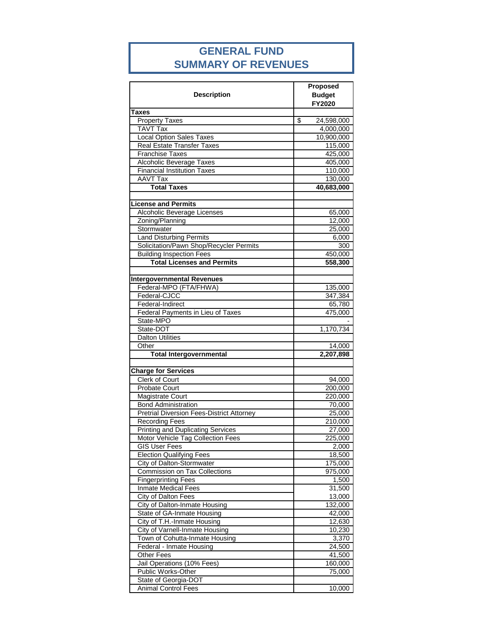### **GENERAL FUND SUMMARY OF REVENUES**

| <b>Taxes</b><br><b>Property Taxes</b><br>\$<br>24,598,000<br><b>TAVT Tax</b><br>4,000,000<br><b>Local Option Sales Taxes</b><br>10,900,000<br><b>Real Estate Transfer Taxes</b><br>115,000<br>Franchise Taxes<br>425,000<br>Alcoholic Beverage Taxes<br>405,000<br><b>Financial Institution Taxes</b><br>110,000<br><b>AAVT Tax</b><br>130,000<br><b>Total Taxes</b><br>40,683,000<br>Alcoholic Beverage Licenses<br>65,000<br>Zoning/Planning<br>12,000<br>Stormwater<br>25,000<br><b>Land Disturbing Permits</b><br>6,000<br>Solicitation/Pawn Shop/Recycler Permits<br>300<br><b>Building Inspection Fees</b><br>450,000<br><b>Total Licenses and Permits</b><br>558,300<br><b>Intergovernmental Revenues</b><br>Federal-MPO (FTA/FHWA)<br>135,000<br>Federal-CJCC<br>347,384<br>Federal-Indirect<br>65,780<br>Federal Payments in Lieu of Taxes<br>475,000<br>State-MPO<br>State-DOT<br>1,170,734<br><b>Dalton Utilities</b><br>Other<br>14,000<br><b>Total Intergovernmental</b><br>2,207,898<br><b>Charge for Services</b><br>Clerk of Court<br>94,000<br><b>Probate Court</b><br>200,000<br><b>Magistrate Court</b><br>220,000<br><b>Bond Administration</b><br>70,000<br><b>Pretrial Diversion Fees-District Attorney</b><br>25,000<br><b>Recording Fees</b><br>210,000<br><b>Printing and Duplicating Services</b><br>27,000<br>Motor Vehicle Tag Collection Fees<br>225,000<br><b>GIS User Fees</b><br>2,000<br><b>Election Qualifying Fees</b><br>18,500<br>City of Dalton-Stormwater<br>175,000<br><b>Commission on Tax Collections</b><br>975,000<br><b>Fingerprinting Fees</b><br>1,500<br><b>Inmate Medical Fees</b><br>31,500<br><b>City of Dalton Fees</b><br>13,000<br>City of Dalton-Inmate Housing<br>132,000<br><b>State of GA-Inmate Housing</b><br>42,000<br>City of T.H.-Inmate Housing<br>12,630<br>City of Varnell-Inmate Housing<br>10,230<br>3,370<br>Town of Cohutta-Inmate Housing<br>Federal - Inmate Housing<br>24,500<br><b>Other Fees</b><br>41,500<br>Jail Operations (10% Fees)<br>160,000<br>Public Works-Other<br>75,000<br>State of Georgia-DOT<br><b>Animal Control Fees</b><br>10,000 | <b>Description</b>         | Proposed<br><b>Budget</b><br>FY2020 |  |
|--------------------------------------------------------------------------------------------------------------------------------------------------------------------------------------------------------------------------------------------------------------------------------------------------------------------------------------------------------------------------------------------------------------------------------------------------------------------------------------------------------------------------------------------------------------------------------------------------------------------------------------------------------------------------------------------------------------------------------------------------------------------------------------------------------------------------------------------------------------------------------------------------------------------------------------------------------------------------------------------------------------------------------------------------------------------------------------------------------------------------------------------------------------------------------------------------------------------------------------------------------------------------------------------------------------------------------------------------------------------------------------------------------------------------------------------------------------------------------------------------------------------------------------------------------------------------------------------------------------------------------------------------------------------------------------------------------------------------------------------------------------------------------------------------------------------------------------------------------------------------------------------------------------------------------------------------------------------------------------------------------------------------------------------------------------------------------------------------------------------------------|----------------------------|-------------------------------------|--|
|                                                                                                                                                                                                                                                                                                                                                                                                                                                                                                                                                                                                                                                                                                                                                                                                                                                                                                                                                                                                                                                                                                                                                                                                                                                                                                                                                                                                                                                                                                                                                                                                                                                                                                                                                                                                                                                                                                                                                                                                                                                                                                                                |                            |                                     |  |
|                                                                                                                                                                                                                                                                                                                                                                                                                                                                                                                                                                                                                                                                                                                                                                                                                                                                                                                                                                                                                                                                                                                                                                                                                                                                                                                                                                                                                                                                                                                                                                                                                                                                                                                                                                                                                                                                                                                                                                                                                                                                                                                                |                            |                                     |  |
|                                                                                                                                                                                                                                                                                                                                                                                                                                                                                                                                                                                                                                                                                                                                                                                                                                                                                                                                                                                                                                                                                                                                                                                                                                                                                                                                                                                                                                                                                                                                                                                                                                                                                                                                                                                                                                                                                                                                                                                                                                                                                                                                |                            |                                     |  |
|                                                                                                                                                                                                                                                                                                                                                                                                                                                                                                                                                                                                                                                                                                                                                                                                                                                                                                                                                                                                                                                                                                                                                                                                                                                                                                                                                                                                                                                                                                                                                                                                                                                                                                                                                                                                                                                                                                                                                                                                                                                                                                                                |                            |                                     |  |
|                                                                                                                                                                                                                                                                                                                                                                                                                                                                                                                                                                                                                                                                                                                                                                                                                                                                                                                                                                                                                                                                                                                                                                                                                                                                                                                                                                                                                                                                                                                                                                                                                                                                                                                                                                                                                                                                                                                                                                                                                                                                                                                                |                            |                                     |  |
|                                                                                                                                                                                                                                                                                                                                                                                                                                                                                                                                                                                                                                                                                                                                                                                                                                                                                                                                                                                                                                                                                                                                                                                                                                                                                                                                                                                                                                                                                                                                                                                                                                                                                                                                                                                                                                                                                                                                                                                                                                                                                                                                |                            |                                     |  |
|                                                                                                                                                                                                                                                                                                                                                                                                                                                                                                                                                                                                                                                                                                                                                                                                                                                                                                                                                                                                                                                                                                                                                                                                                                                                                                                                                                                                                                                                                                                                                                                                                                                                                                                                                                                                                                                                                                                                                                                                                                                                                                                                |                            |                                     |  |
|                                                                                                                                                                                                                                                                                                                                                                                                                                                                                                                                                                                                                                                                                                                                                                                                                                                                                                                                                                                                                                                                                                                                                                                                                                                                                                                                                                                                                                                                                                                                                                                                                                                                                                                                                                                                                                                                                                                                                                                                                                                                                                                                |                            |                                     |  |
|                                                                                                                                                                                                                                                                                                                                                                                                                                                                                                                                                                                                                                                                                                                                                                                                                                                                                                                                                                                                                                                                                                                                                                                                                                                                                                                                                                                                                                                                                                                                                                                                                                                                                                                                                                                                                                                                                                                                                                                                                                                                                                                                |                            |                                     |  |
|                                                                                                                                                                                                                                                                                                                                                                                                                                                                                                                                                                                                                                                                                                                                                                                                                                                                                                                                                                                                                                                                                                                                                                                                                                                                                                                                                                                                                                                                                                                                                                                                                                                                                                                                                                                                                                                                                                                                                                                                                                                                                                                                |                            |                                     |  |
|                                                                                                                                                                                                                                                                                                                                                                                                                                                                                                                                                                                                                                                                                                                                                                                                                                                                                                                                                                                                                                                                                                                                                                                                                                                                                                                                                                                                                                                                                                                                                                                                                                                                                                                                                                                                                                                                                                                                                                                                                                                                                                                                |                            |                                     |  |
|                                                                                                                                                                                                                                                                                                                                                                                                                                                                                                                                                                                                                                                                                                                                                                                                                                                                                                                                                                                                                                                                                                                                                                                                                                                                                                                                                                                                                                                                                                                                                                                                                                                                                                                                                                                                                                                                                                                                                                                                                                                                                                                                | <b>License and Permits</b> |                                     |  |
|                                                                                                                                                                                                                                                                                                                                                                                                                                                                                                                                                                                                                                                                                                                                                                                                                                                                                                                                                                                                                                                                                                                                                                                                                                                                                                                                                                                                                                                                                                                                                                                                                                                                                                                                                                                                                                                                                                                                                                                                                                                                                                                                |                            |                                     |  |
|                                                                                                                                                                                                                                                                                                                                                                                                                                                                                                                                                                                                                                                                                                                                                                                                                                                                                                                                                                                                                                                                                                                                                                                                                                                                                                                                                                                                                                                                                                                                                                                                                                                                                                                                                                                                                                                                                                                                                                                                                                                                                                                                |                            |                                     |  |
|                                                                                                                                                                                                                                                                                                                                                                                                                                                                                                                                                                                                                                                                                                                                                                                                                                                                                                                                                                                                                                                                                                                                                                                                                                                                                                                                                                                                                                                                                                                                                                                                                                                                                                                                                                                                                                                                                                                                                                                                                                                                                                                                |                            |                                     |  |
|                                                                                                                                                                                                                                                                                                                                                                                                                                                                                                                                                                                                                                                                                                                                                                                                                                                                                                                                                                                                                                                                                                                                                                                                                                                                                                                                                                                                                                                                                                                                                                                                                                                                                                                                                                                                                                                                                                                                                                                                                                                                                                                                |                            |                                     |  |
|                                                                                                                                                                                                                                                                                                                                                                                                                                                                                                                                                                                                                                                                                                                                                                                                                                                                                                                                                                                                                                                                                                                                                                                                                                                                                                                                                                                                                                                                                                                                                                                                                                                                                                                                                                                                                                                                                                                                                                                                                                                                                                                                |                            |                                     |  |
|                                                                                                                                                                                                                                                                                                                                                                                                                                                                                                                                                                                                                                                                                                                                                                                                                                                                                                                                                                                                                                                                                                                                                                                                                                                                                                                                                                                                                                                                                                                                                                                                                                                                                                                                                                                                                                                                                                                                                                                                                                                                                                                                |                            |                                     |  |
|                                                                                                                                                                                                                                                                                                                                                                                                                                                                                                                                                                                                                                                                                                                                                                                                                                                                                                                                                                                                                                                                                                                                                                                                                                                                                                                                                                                                                                                                                                                                                                                                                                                                                                                                                                                                                                                                                                                                                                                                                                                                                                                                |                            |                                     |  |
|                                                                                                                                                                                                                                                                                                                                                                                                                                                                                                                                                                                                                                                                                                                                                                                                                                                                                                                                                                                                                                                                                                                                                                                                                                                                                                                                                                                                                                                                                                                                                                                                                                                                                                                                                                                                                                                                                                                                                                                                                                                                                                                                |                            |                                     |  |
|                                                                                                                                                                                                                                                                                                                                                                                                                                                                                                                                                                                                                                                                                                                                                                                                                                                                                                                                                                                                                                                                                                                                                                                                                                                                                                                                                                                                                                                                                                                                                                                                                                                                                                                                                                                                                                                                                                                                                                                                                                                                                                                                |                            |                                     |  |
|                                                                                                                                                                                                                                                                                                                                                                                                                                                                                                                                                                                                                                                                                                                                                                                                                                                                                                                                                                                                                                                                                                                                                                                                                                                                                                                                                                                                                                                                                                                                                                                                                                                                                                                                                                                                                                                                                                                                                                                                                                                                                                                                |                            |                                     |  |
|                                                                                                                                                                                                                                                                                                                                                                                                                                                                                                                                                                                                                                                                                                                                                                                                                                                                                                                                                                                                                                                                                                                                                                                                                                                                                                                                                                                                                                                                                                                                                                                                                                                                                                                                                                                                                                                                                                                                                                                                                                                                                                                                |                            |                                     |  |
|                                                                                                                                                                                                                                                                                                                                                                                                                                                                                                                                                                                                                                                                                                                                                                                                                                                                                                                                                                                                                                                                                                                                                                                                                                                                                                                                                                                                                                                                                                                                                                                                                                                                                                                                                                                                                                                                                                                                                                                                                                                                                                                                |                            |                                     |  |
|                                                                                                                                                                                                                                                                                                                                                                                                                                                                                                                                                                                                                                                                                                                                                                                                                                                                                                                                                                                                                                                                                                                                                                                                                                                                                                                                                                                                                                                                                                                                                                                                                                                                                                                                                                                                                                                                                                                                                                                                                                                                                                                                |                            |                                     |  |
|                                                                                                                                                                                                                                                                                                                                                                                                                                                                                                                                                                                                                                                                                                                                                                                                                                                                                                                                                                                                                                                                                                                                                                                                                                                                                                                                                                                                                                                                                                                                                                                                                                                                                                                                                                                                                                                                                                                                                                                                                                                                                                                                |                            |                                     |  |
|                                                                                                                                                                                                                                                                                                                                                                                                                                                                                                                                                                                                                                                                                                                                                                                                                                                                                                                                                                                                                                                                                                                                                                                                                                                                                                                                                                                                                                                                                                                                                                                                                                                                                                                                                                                                                                                                                                                                                                                                                                                                                                                                |                            |                                     |  |
|                                                                                                                                                                                                                                                                                                                                                                                                                                                                                                                                                                                                                                                                                                                                                                                                                                                                                                                                                                                                                                                                                                                                                                                                                                                                                                                                                                                                                                                                                                                                                                                                                                                                                                                                                                                                                                                                                                                                                                                                                                                                                                                                |                            |                                     |  |
|                                                                                                                                                                                                                                                                                                                                                                                                                                                                                                                                                                                                                                                                                                                                                                                                                                                                                                                                                                                                                                                                                                                                                                                                                                                                                                                                                                                                                                                                                                                                                                                                                                                                                                                                                                                                                                                                                                                                                                                                                                                                                                                                |                            |                                     |  |
|                                                                                                                                                                                                                                                                                                                                                                                                                                                                                                                                                                                                                                                                                                                                                                                                                                                                                                                                                                                                                                                                                                                                                                                                                                                                                                                                                                                                                                                                                                                                                                                                                                                                                                                                                                                                                                                                                                                                                                                                                                                                                                                                |                            |                                     |  |
|                                                                                                                                                                                                                                                                                                                                                                                                                                                                                                                                                                                                                                                                                                                                                                                                                                                                                                                                                                                                                                                                                                                                                                                                                                                                                                                                                                                                                                                                                                                                                                                                                                                                                                                                                                                                                                                                                                                                                                                                                                                                                                                                |                            |                                     |  |
|                                                                                                                                                                                                                                                                                                                                                                                                                                                                                                                                                                                                                                                                                                                                                                                                                                                                                                                                                                                                                                                                                                                                                                                                                                                                                                                                                                                                                                                                                                                                                                                                                                                                                                                                                                                                                                                                                                                                                                                                                                                                                                                                |                            |                                     |  |
|                                                                                                                                                                                                                                                                                                                                                                                                                                                                                                                                                                                                                                                                                                                                                                                                                                                                                                                                                                                                                                                                                                                                                                                                                                                                                                                                                                                                                                                                                                                                                                                                                                                                                                                                                                                                                                                                                                                                                                                                                                                                                                                                |                            |                                     |  |
|                                                                                                                                                                                                                                                                                                                                                                                                                                                                                                                                                                                                                                                                                                                                                                                                                                                                                                                                                                                                                                                                                                                                                                                                                                                                                                                                                                                                                                                                                                                                                                                                                                                                                                                                                                                                                                                                                                                                                                                                                                                                                                                                |                            |                                     |  |
|                                                                                                                                                                                                                                                                                                                                                                                                                                                                                                                                                                                                                                                                                                                                                                                                                                                                                                                                                                                                                                                                                                                                                                                                                                                                                                                                                                                                                                                                                                                                                                                                                                                                                                                                                                                                                                                                                                                                                                                                                                                                                                                                |                            |                                     |  |
|                                                                                                                                                                                                                                                                                                                                                                                                                                                                                                                                                                                                                                                                                                                                                                                                                                                                                                                                                                                                                                                                                                                                                                                                                                                                                                                                                                                                                                                                                                                                                                                                                                                                                                                                                                                                                                                                                                                                                                                                                                                                                                                                |                            |                                     |  |
|                                                                                                                                                                                                                                                                                                                                                                                                                                                                                                                                                                                                                                                                                                                                                                                                                                                                                                                                                                                                                                                                                                                                                                                                                                                                                                                                                                                                                                                                                                                                                                                                                                                                                                                                                                                                                                                                                                                                                                                                                                                                                                                                |                            |                                     |  |
|                                                                                                                                                                                                                                                                                                                                                                                                                                                                                                                                                                                                                                                                                                                                                                                                                                                                                                                                                                                                                                                                                                                                                                                                                                                                                                                                                                                                                                                                                                                                                                                                                                                                                                                                                                                                                                                                                                                                                                                                                                                                                                                                |                            |                                     |  |
|                                                                                                                                                                                                                                                                                                                                                                                                                                                                                                                                                                                                                                                                                                                                                                                                                                                                                                                                                                                                                                                                                                                                                                                                                                                                                                                                                                                                                                                                                                                                                                                                                                                                                                                                                                                                                                                                                                                                                                                                                                                                                                                                |                            |                                     |  |
|                                                                                                                                                                                                                                                                                                                                                                                                                                                                                                                                                                                                                                                                                                                                                                                                                                                                                                                                                                                                                                                                                                                                                                                                                                                                                                                                                                                                                                                                                                                                                                                                                                                                                                                                                                                                                                                                                                                                                                                                                                                                                                                                |                            |                                     |  |
|                                                                                                                                                                                                                                                                                                                                                                                                                                                                                                                                                                                                                                                                                                                                                                                                                                                                                                                                                                                                                                                                                                                                                                                                                                                                                                                                                                                                                                                                                                                                                                                                                                                                                                                                                                                                                                                                                                                                                                                                                                                                                                                                |                            |                                     |  |
|                                                                                                                                                                                                                                                                                                                                                                                                                                                                                                                                                                                                                                                                                                                                                                                                                                                                                                                                                                                                                                                                                                                                                                                                                                                                                                                                                                                                                                                                                                                                                                                                                                                                                                                                                                                                                                                                                                                                                                                                                                                                                                                                |                            |                                     |  |
|                                                                                                                                                                                                                                                                                                                                                                                                                                                                                                                                                                                                                                                                                                                                                                                                                                                                                                                                                                                                                                                                                                                                                                                                                                                                                                                                                                                                                                                                                                                                                                                                                                                                                                                                                                                                                                                                                                                                                                                                                                                                                                                                |                            |                                     |  |
|                                                                                                                                                                                                                                                                                                                                                                                                                                                                                                                                                                                                                                                                                                                                                                                                                                                                                                                                                                                                                                                                                                                                                                                                                                                                                                                                                                                                                                                                                                                                                                                                                                                                                                                                                                                                                                                                                                                                                                                                                                                                                                                                |                            |                                     |  |
|                                                                                                                                                                                                                                                                                                                                                                                                                                                                                                                                                                                                                                                                                                                                                                                                                                                                                                                                                                                                                                                                                                                                                                                                                                                                                                                                                                                                                                                                                                                                                                                                                                                                                                                                                                                                                                                                                                                                                                                                                                                                                                                                |                            |                                     |  |
|                                                                                                                                                                                                                                                                                                                                                                                                                                                                                                                                                                                                                                                                                                                                                                                                                                                                                                                                                                                                                                                                                                                                                                                                                                                                                                                                                                                                                                                                                                                                                                                                                                                                                                                                                                                                                                                                                                                                                                                                                                                                                                                                |                            |                                     |  |
|                                                                                                                                                                                                                                                                                                                                                                                                                                                                                                                                                                                                                                                                                                                                                                                                                                                                                                                                                                                                                                                                                                                                                                                                                                                                                                                                                                                                                                                                                                                                                                                                                                                                                                                                                                                                                                                                                                                                                                                                                                                                                                                                |                            |                                     |  |
|                                                                                                                                                                                                                                                                                                                                                                                                                                                                                                                                                                                                                                                                                                                                                                                                                                                                                                                                                                                                                                                                                                                                                                                                                                                                                                                                                                                                                                                                                                                                                                                                                                                                                                                                                                                                                                                                                                                                                                                                                                                                                                                                |                            |                                     |  |
|                                                                                                                                                                                                                                                                                                                                                                                                                                                                                                                                                                                                                                                                                                                                                                                                                                                                                                                                                                                                                                                                                                                                                                                                                                                                                                                                                                                                                                                                                                                                                                                                                                                                                                                                                                                                                                                                                                                                                                                                                                                                                                                                |                            |                                     |  |
|                                                                                                                                                                                                                                                                                                                                                                                                                                                                                                                                                                                                                                                                                                                                                                                                                                                                                                                                                                                                                                                                                                                                                                                                                                                                                                                                                                                                                                                                                                                                                                                                                                                                                                                                                                                                                                                                                                                                                                                                                                                                                                                                |                            |                                     |  |
|                                                                                                                                                                                                                                                                                                                                                                                                                                                                                                                                                                                                                                                                                                                                                                                                                                                                                                                                                                                                                                                                                                                                                                                                                                                                                                                                                                                                                                                                                                                                                                                                                                                                                                                                                                                                                                                                                                                                                                                                                                                                                                                                |                            |                                     |  |
|                                                                                                                                                                                                                                                                                                                                                                                                                                                                                                                                                                                                                                                                                                                                                                                                                                                                                                                                                                                                                                                                                                                                                                                                                                                                                                                                                                                                                                                                                                                                                                                                                                                                                                                                                                                                                                                                                                                                                                                                                                                                                                                                |                            |                                     |  |
|                                                                                                                                                                                                                                                                                                                                                                                                                                                                                                                                                                                                                                                                                                                                                                                                                                                                                                                                                                                                                                                                                                                                                                                                                                                                                                                                                                                                                                                                                                                                                                                                                                                                                                                                                                                                                                                                                                                                                                                                                                                                                                                                |                            |                                     |  |
|                                                                                                                                                                                                                                                                                                                                                                                                                                                                                                                                                                                                                                                                                                                                                                                                                                                                                                                                                                                                                                                                                                                                                                                                                                                                                                                                                                                                                                                                                                                                                                                                                                                                                                                                                                                                                                                                                                                                                                                                                                                                                                                                |                            |                                     |  |
|                                                                                                                                                                                                                                                                                                                                                                                                                                                                                                                                                                                                                                                                                                                                                                                                                                                                                                                                                                                                                                                                                                                                                                                                                                                                                                                                                                                                                                                                                                                                                                                                                                                                                                                                                                                                                                                                                                                                                                                                                                                                                                                                |                            |                                     |  |
|                                                                                                                                                                                                                                                                                                                                                                                                                                                                                                                                                                                                                                                                                                                                                                                                                                                                                                                                                                                                                                                                                                                                                                                                                                                                                                                                                                                                                                                                                                                                                                                                                                                                                                                                                                                                                                                                                                                                                                                                                                                                                                                                |                            |                                     |  |
|                                                                                                                                                                                                                                                                                                                                                                                                                                                                                                                                                                                                                                                                                                                                                                                                                                                                                                                                                                                                                                                                                                                                                                                                                                                                                                                                                                                                                                                                                                                                                                                                                                                                                                                                                                                                                                                                                                                                                                                                                                                                                                                                |                            |                                     |  |
|                                                                                                                                                                                                                                                                                                                                                                                                                                                                                                                                                                                                                                                                                                                                                                                                                                                                                                                                                                                                                                                                                                                                                                                                                                                                                                                                                                                                                                                                                                                                                                                                                                                                                                                                                                                                                                                                                                                                                                                                                                                                                                                                |                            |                                     |  |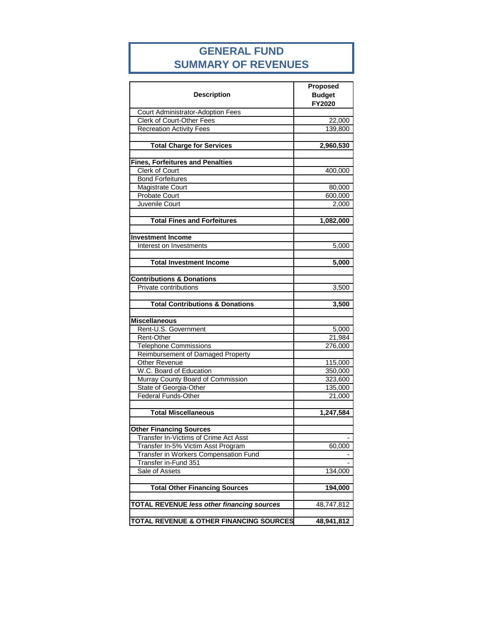### **GENERAL FUND SUMMARY OF REVENUES**

| <b>Description</b>                                 | Proposed<br><b>Budget</b><br><b>FY2020</b> |
|----------------------------------------------------|--------------------------------------------|
| <b>Court Administrator-Adoption Fees</b>           |                                            |
| <b>Clerk of Court-Other Fees</b>                   | 22,000                                     |
| <b>Recreation Activity Fees</b>                    | 139,800                                    |
|                                                    |                                            |
| <b>Total Charge for Services</b>                   | 2,960,530                                  |
|                                                    |                                            |
| <b>Fines, Forfeitures and Penalties</b>            |                                            |
| <b>Clerk of Court</b>                              | 400,000                                    |
| <b>Bond Forfeitures</b>                            |                                            |
| Magistrate Court                                   | 80,000                                     |
| <b>Probate Court</b>                               | 600,000                                    |
| Juvenile Court                                     | 2,000                                      |
|                                                    |                                            |
| <b>Total Fines and Forfeitures</b>                 | 1,082,000                                  |
|                                                    |                                            |
| <b>Investment Income</b>                           |                                            |
| Interest on Investments                            | 5,000                                      |
| <b>Total Investment Income</b>                     | 5,000                                      |
|                                                    |                                            |
| <b>Contributions &amp; Donations</b>               |                                            |
| Private contributions                              | 3,500                                      |
|                                                    |                                            |
| <b>Total Contributions &amp; Donations</b>         | 3,500                                      |
|                                                    |                                            |
| <b>Miscellaneous</b>                               |                                            |
| Rent-U.S. Government                               | 5,000                                      |
| Rent-Other                                         | 21,984                                     |
| <b>Telephone Commissions</b>                       | 276,000                                    |
| Reimbursement of Damaged Property                  |                                            |
| Other Revenue                                      | 115,000                                    |
| W.C. Board of Education                            | 350,000                                    |
| Murray County Board of Commission                  | 323,600                                    |
| State of Georgia-Other                             | 135,000                                    |
| <b>Federal Funds-Other</b>                         | 21,000                                     |
|                                                    |                                            |
| <b>Total Miscellaneous</b>                         | 1,247,584                                  |
|                                                    |                                            |
| <b>Other Financing Sources</b>                     |                                            |
| Transfer In-Victims of Crime Act Asst              |                                            |
| Transfer In-5% Victim Asst Program                 | 60,000                                     |
| Transfer in Workers Compensation Fund              |                                            |
| Transfer in-Fund 351                               |                                            |
| Sale of Assets                                     | 134,000                                    |
|                                                    |                                            |
| <b>Total Other Financing Sources</b>               | 194,000                                    |
|                                                    |                                            |
| <b>TOTAL REVENUE less other financing sources</b>  | 48,747,812                                 |
| <b>TOTAL REVENUE &amp; OTHER FINANCING SOURCES</b> | 48,941,812                                 |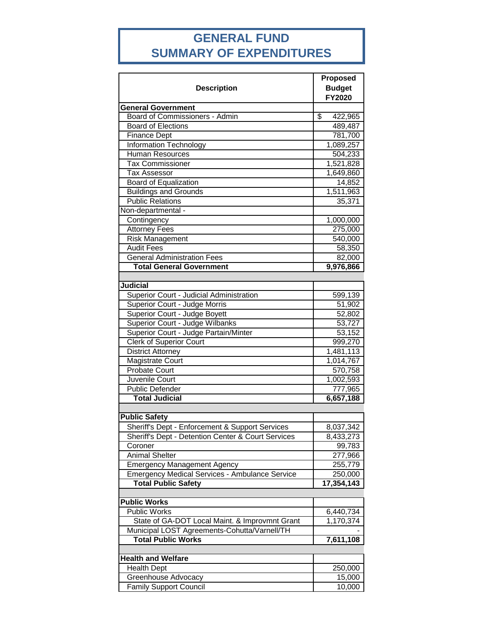# **GENERAL FUND SUMMARY OF EXPENDITURES**

| <b>Budget</b><br><b>Description</b><br>FY2020<br><b>General Government</b><br>Board of Commissioners - Admin<br>\$<br>422,965<br><b>Board of Elections</b><br>489,487<br><b>Finance Dept</b><br>781,700<br>Information Technology<br>1,089,257<br>Human Resources<br>504,233<br><b>Tax Commissioner</b><br>1,521,828<br><b>Tax Assessor</b><br>1,649,860<br>Board of Equalization<br>14,852<br><b>Buildings and Grounds</b><br>1,511,963<br><b>Public Relations</b><br>35,371<br>Non-departmental -<br>Contingency<br>1,000,000<br><b>Attorney Fees</b><br>275,000<br><b>Risk Management</b><br>540,000<br><b>Audit Fees</b><br>58,350<br><b>General Administration Fees</b><br>82,000<br><b>Total General Government</b><br>9,976,866<br><b>Judicial</b><br>Superior Court - Judicial Administration<br>599,139<br>Superior Court - Judge Morris<br>51,902<br>Superior Court - Judge Boyett<br>52,802<br>Superior Court - Judge Wilbanks<br>53,727<br>Superior Court - Judge Partain/Minter<br>53,152<br><b>Clerk of Superior Court</b><br>999,270<br><b>District Attorney</b><br>1,481,113<br><b>Magistrate Court</b><br>1,014,767<br>Probate Court<br>570,758<br>Juvenile Court<br>1,002,593<br><b>Public Defender</b><br>777,965<br><b>Total Judicial</b><br>6,657,188<br><b>Public Safety</b><br>Sheriff's Dept - Enforcement & Support Services<br>8,037,342<br>Sheriff's Dept - Detention Center & Court Services<br>8,433,273<br>Coroner<br>99,783<br><b>Animal Shelter</b><br>277,966<br><b>Emergency Management Agency</b><br>255,779 |
|-------------------------------------------------------------------------------------------------------------------------------------------------------------------------------------------------------------------------------------------------------------------------------------------------------------------------------------------------------------------------------------------------------------------------------------------------------------------------------------------------------------------------------------------------------------------------------------------------------------------------------------------------------------------------------------------------------------------------------------------------------------------------------------------------------------------------------------------------------------------------------------------------------------------------------------------------------------------------------------------------------------------------------------------------------------------------------------------------------------------------------------------------------------------------------------------------------------------------------------------------------------------------------------------------------------------------------------------------------------------------------------------------------------------------------------------------------------------------------------------------------------------------------------------------|
|                                                                                                                                                                                                                                                                                                                                                                                                                                                                                                                                                                                                                                                                                                                                                                                                                                                                                                                                                                                                                                                                                                                                                                                                                                                                                                                                                                                                                                                                                                                                                 |
|                                                                                                                                                                                                                                                                                                                                                                                                                                                                                                                                                                                                                                                                                                                                                                                                                                                                                                                                                                                                                                                                                                                                                                                                                                                                                                                                                                                                                                                                                                                                                 |
|                                                                                                                                                                                                                                                                                                                                                                                                                                                                                                                                                                                                                                                                                                                                                                                                                                                                                                                                                                                                                                                                                                                                                                                                                                                                                                                                                                                                                                                                                                                                                 |
|                                                                                                                                                                                                                                                                                                                                                                                                                                                                                                                                                                                                                                                                                                                                                                                                                                                                                                                                                                                                                                                                                                                                                                                                                                                                                                                                                                                                                                                                                                                                                 |
|                                                                                                                                                                                                                                                                                                                                                                                                                                                                                                                                                                                                                                                                                                                                                                                                                                                                                                                                                                                                                                                                                                                                                                                                                                                                                                                                                                                                                                                                                                                                                 |
|                                                                                                                                                                                                                                                                                                                                                                                                                                                                                                                                                                                                                                                                                                                                                                                                                                                                                                                                                                                                                                                                                                                                                                                                                                                                                                                                                                                                                                                                                                                                                 |
|                                                                                                                                                                                                                                                                                                                                                                                                                                                                                                                                                                                                                                                                                                                                                                                                                                                                                                                                                                                                                                                                                                                                                                                                                                                                                                                                                                                                                                                                                                                                                 |
|                                                                                                                                                                                                                                                                                                                                                                                                                                                                                                                                                                                                                                                                                                                                                                                                                                                                                                                                                                                                                                                                                                                                                                                                                                                                                                                                                                                                                                                                                                                                                 |
|                                                                                                                                                                                                                                                                                                                                                                                                                                                                                                                                                                                                                                                                                                                                                                                                                                                                                                                                                                                                                                                                                                                                                                                                                                                                                                                                                                                                                                                                                                                                                 |
|                                                                                                                                                                                                                                                                                                                                                                                                                                                                                                                                                                                                                                                                                                                                                                                                                                                                                                                                                                                                                                                                                                                                                                                                                                                                                                                                                                                                                                                                                                                                                 |
|                                                                                                                                                                                                                                                                                                                                                                                                                                                                                                                                                                                                                                                                                                                                                                                                                                                                                                                                                                                                                                                                                                                                                                                                                                                                                                                                                                                                                                                                                                                                                 |
|                                                                                                                                                                                                                                                                                                                                                                                                                                                                                                                                                                                                                                                                                                                                                                                                                                                                                                                                                                                                                                                                                                                                                                                                                                                                                                                                                                                                                                                                                                                                                 |
|                                                                                                                                                                                                                                                                                                                                                                                                                                                                                                                                                                                                                                                                                                                                                                                                                                                                                                                                                                                                                                                                                                                                                                                                                                                                                                                                                                                                                                                                                                                                                 |
|                                                                                                                                                                                                                                                                                                                                                                                                                                                                                                                                                                                                                                                                                                                                                                                                                                                                                                                                                                                                                                                                                                                                                                                                                                                                                                                                                                                                                                                                                                                                                 |
|                                                                                                                                                                                                                                                                                                                                                                                                                                                                                                                                                                                                                                                                                                                                                                                                                                                                                                                                                                                                                                                                                                                                                                                                                                                                                                                                                                                                                                                                                                                                                 |
|                                                                                                                                                                                                                                                                                                                                                                                                                                                                                                                                                                                                                                                                                                                                                                                                                                                                                                                                                                                                                                                                                                                                                                                                                                                                                                                                                                                                                                                                                                                                                 |
|                                                                                                                                                                                                                                                                                                                                                                                                                                                                                                                                                                                                                                                                                                                                                                                                                                                                                                                                                                                                                                                                                                                                                                                                                                                                                                                                                                                                                                                                                                                                                 |
|                                                                                                                                                                                                                                                                                                                                                                                                                                                                                                                                                                                                                                                                                                                                                                                                                                                                                                                                                                                                                                                                                                                                                                                                                                                                                                                                                                                                                                                                                                                                                 |
|                                                                                                                                                                                                                                                                                                                                                                                                                                                                                                                                                                                                                                                                                                                                                                                                                                                                                                                                                                                                                                                                                                                                                                                                                                                                                                                                                                                                                                                                                                                                                 |
|                                                                                                                                                                                                                                                                                                                                                                                                                                                                                                                                                                                                                                                                                                                                                                                                                                                                                                                                                                                                                                                                                                                                                                                                                                                                                                                                                                                                                                                                                                                                                 |
|                                                                                                                                                                                                                                                                                                                                                                                                                                                                                                                                                                                                                                                                                                                                                                                                                                                                                                                                                                                                                                                                                                                                                                                                                                                                                                                                                                                                                                                                                                                                                 |
|                                                                                                                                                                                                                                                                                                                                                                                                                                                                                                                                                                                                                                                                                                                                                                                                                                                                                                                                                                                                                                                                                                                                                                                                                                                                                                                                                                                                                                                                                                                                                 |
|                                                                                                                                                                                                                                                                                                                                                                                                                                                                                                                                                                                                                                                                                                                                                                                                                                                                                                                                                                                                                                                                                                                                                                                                                                                                                                                                                                                                                                                                                                                                                 |
|                                                                                                                                                                                                                                                                                                                                                                                                                                                                                                                                                                                                                                                                                                                                                                                                                                                                                                                                                                                                                                                                                                                                                                                                                                                                                                                                                                                                                                                                                                                                                 |
|                                                                                                                                                                                                                                                                                                                                                                                                                                                                                                                                                                                                                                                                                                                                                                                                                                                                                                                                                                                                                                                                                                                                                                                                                                                                                                                                                                                                                                                                                                                                                 |
|                                                                                                                                                                                                                                                                                                                                                                                                                                                                                                                                                                                                                                                                                                                                                                                                                                                                                                                                                                                                                                                                                                                                                                                                                                                                                                                                                                                                                                                                                                                                                 |
|                                                                                                                                                                                                                                                                                                                                                                                                                                                                                                                                                                                                                                                                                                                                                                                                                                                                                                                                                                                                                                                                                                                                                                                                                                                                                                                                                                                                                                                                                                                                                 |
|                                                                                                                                                                                                                                                                                                                                                                                                                                                                                                                                                                                                                                                                                                                                                                                                                                                                                                                                                                                                                                                                                                                                                                                                                                                                                                                                                                                                                                                                                                                                                 |
|                                                                                                                                                                                                                                                                                                                                                                                                                                                                                                                                                                                                                                                                                                                                                                                                                                                                                                                                                                                                                                                                                                                                                                                                                                                                                                                                                                                                                                                                                                                                                 |
|                                                                                                                                                                                                                                                                                                                                                                                                                                                                                                                                                                                                                                                                                                                                                                                                                                                                                                                                                                                                                                                                                                                                                                                                                                                                                                                                                                                                                                                                                                                                                 |
|                                                                                                                                                                                                                                                                                                                                                                                                                                                                                                                                                                                                                                                                                                                                                                                                                                                                                                                                                                                                                                                                                                                                                                                                                                                                                                                                                                                                                                                                                                                                                 |
|                                                                                                                                                                                                                                                                                                                                                                                                                                                                                                                                                                                                                                                                                                                                                                                                                                                                                                                                                                                                                                                                                                                                                                                                                                                                                                                                                                                                                                                                                                                                                 |
|                                                                                                                                                                                                                                                                                                                                                                                                                                                                                                                                                                                                                                                                                                                                                                                                                                                                                                                                                                                                                                                                                                                                                                                                                                                                                                                                                                                                                                                                                                                                                 |
|                                                                                                                                                                                                                                                                                                                                                                                                                                                                                                                                                                                                                                                                                                                                                                                                                                                                                                                                                                                                                                                                                                                                                                                                                                                                                                                                                                                                                                                                                                                                                 |
|                                                                                                                                                                                                                                                                                                                                                                                                                                                                                                                                                                                                                                                                                                                                                                                                                                                                                                                                                                                                                                                                                                                                                                                                                                                                                                                                                                                                                                                                                                                                                 |
|                                                                                                                                                                                                                                                                                                                                                                                                                                                                                                                                                                                                                                                                                                                                                                                                                                                                                                                                                                                                                                                                                                                                                                                                                                                                                                                                                                                                                                                                                                                                                 |
|                                                                                                                                                                                                                                                                                                                                                                                                                                                                                                                                                                                                                                                                                                                                                                                                                                                                                                                                                                                                                                                                                                                                                                                                                                                                                                                                                                                                                                                                                                                                                 |
|                                                                                                                                                                                                                                                                                                                                                                                                                                                                                                                                                                                                                                                                                                                                                                                                                                                                                                                                                                                                                                                                                                                                                                                                                                                                                                                                                                                                                                                                                                                                                 |
|                                                                                                                                                                                                                                                                                                                                                                                                                                                                                                                                                                                                                                                                                                                                                                                                                                                                                                                                                                                                                                                                                                                                                                                                                                                                                                                                                                                                                                                                                                                                                 |
|                                                                                                                                                                                                                                                                                                                                                                                                                                                                                                                                                                                                                                                                                                                                                                                                                                                                                                                                                                                                                                                                                                                                                                                                                                                                                                                                                                                                                                                                                                                                                 |
| <b>Emergency Medical Services - Ambulance Service</b><br>250,000                                                                                                                                                                                                                                                                                                                                                                                                                                                                                                                                                                                                                                                                                                                                                                                                                                                                                                                                                                                                                                                                                                                                                                                                                                                                                                                                                                                                                                                                                |
| <b>Total Public Safety</b><br>17,354,143                                                                                                                                                                                                                                                                                                                                                                                                                                                                                                                                                                                                                                                                                                                                                                                                                                                                                                                                                                                                                                                                                                                                                                                                                                                                                                                                                                                                                                                                                                        |
|                                                                                                                                                                                                                                                                                                                                                                                                                                                                                                                                                                                                                                                                                                                                                                                                                                                                                                                                                                                                                                                                                                                                                                                                                                                                                                                                                                                                                                                                                                                                                 |
| <b>Public Works</b><br><b>Public Works</b>                                                                                                                                                                                                                                                                                                                                                                                                                                                                                                                                                                                                                                                                                                                                                                                                                                                                                                                                                                                                                                                                                                                                                                                                                                                                                                                                                                                                                                                                                                      |
| 6,440,734                                                                                                                                                                                                                                                                                                                                                                                                                                                                                                                                                                                                                                                                                                                                                                                                                                                                                                                                                                                                                                                                                                                                                                                                                                                                                                                                                                                                                                                                                                                                       |
| State of GA-DOT Local Maint. & Improvmnt Grant<br>1,170,374                                                                                                                                                                                                                                                                                                                                                                                                                                                                                                                                                                                                                                                                                                                                                                                                                                                                                                                                                                                                                                                                                                                                                                                                                                                                                                                                                                                                                                                                                     |
| Municipal LOST Agreements-Cohutta/Varnell/TH<br><b>Total Public Works</b>                                                                                                                                                                                                                                                                                                                                                                                                                                                                                                                                                                                                                                                                                                                                                                                                                                                                                                                                                                                                                                                                                                                                                                                                                                                                                                                                                                                                                                                                       |
| 7,611,108                                                                                                                                                                                                                                                                                                                                                                                                                                                                                                                                                                                                                                                                                                                                                                                                                                                                                                                                                                                                                                                                                                                                                                                                                                                                                                                                                                                                                                                                                                                                       |
| <b>Health and Welfare</b>                                                                                                                                                                                                                                                                                                                                                                                                                                                                                                                                                                                                                                                                                                                                                                                                                                                                                                                                                                                                                                                                                                                                                                                                                                                                                                                                                                                                                                                                                                                       |
| <b>Health Dept</b><br>250,000                                                                                                                                                                                                                                                                                                                                                                                                                                                                                                                                                                                                                                                                                                                                                                                                                                                                                                                                                                                                                                                                                                                                                                                                                                                                                                                                                                                                                                                                                                                   |
| Greenhouse Advocacy<br>15,000                                                                                                                                                                                                                                                                                                                                                                                                                                                                                                                                                                                                                                                                                                                                                                                                                                                                                                                                                                                                                                                                                                                                                                                                                                                                                                                                                                                                                                                                                                                   |
| <b>Family Support Council</b><br>10,000                                                                                                                                                                                                                                                                                                                                                                                                                                                                                                                                                                                                                                                                                                                                                                                                                                                                                                                                                                                                                                                                                                                                                                                                                                                                                                                                                                                                                                                                                                         |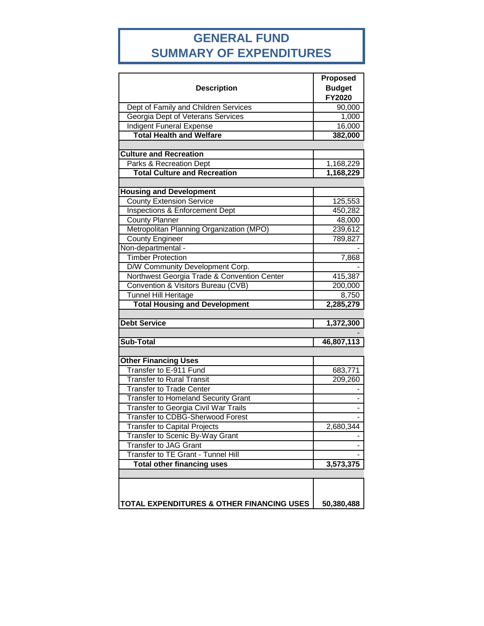# **GENERAL FUND SUMMARY OF EXPENDITURES**

| <b>Description</b>                          | <b>Proposed</b><br><b>Budget</b><br>FY2020 |
|---------------------------------------------|--------------------------------------------|
| Dept of Family and Children Services        | 90,000                                     |
| Georgia Dept of Veterans Services           | 1,000                                      |
| <b>Indigent Funeral Expense</b>             | 16,000                                     |
| <b>Total Health and Welfare</b>             | 382,000                                    |
|                                             |                                            |
| <b>Culture and Recreation</b>               |                                            |
| Parks & Recreation Dept                     | 1,168,229                                  |
| <b>Total Culture and Recreation</b>         | 1,168,229                                  |
|                                             |                                            |
| <b>Housing and Development</b>              |                                            |
| <b>County Extension Service</b>             | 125,553                                    |
| <b>Inspections &amp; Enforcement Dept</b>   | 450,282                                    |
| <b>County Planner</b>                       | 48,000                                     |
| Metropolitan Planning Organization (MPO)    | 239,612                                    |
| <b>County Engineer</b>                      | 789,827                                    |
| Non-departmental -                          |                                            |
| <b>Timber Protection</b>                    | 7,868                                      |
| D/W Community Development Corp.             |                                            |
| Northwest Georgia Trade & Convention Center | 415,387                                    |
| Convention & Visitors Bureau (CVB)          | 200,000                                    |
| <b>Tunnel Hill Heritage</b>                 | 8,750                                      |
| <b>Total Housing and Development</b>        | 2,285,279                                  |
|                                             |                                            |
| <b>Debt Service</b>                         | 1,372,300                                  |
|                                             |                                            |
| <b>Sub-Total</b>                            | 46,807,113                                 |
|                                             |                                            |
| <b>Other Financing Uses</b>                 |                                            |
| Transfer to E-911 Fund                      | 683,771                                    |
| <b>Transfer to Rural Transit</b>            | 209,260                                    |
| <b>Transfer to Trade Center</b>             |                                            |
| <b>Transfer to Homeland Security Grant</b>  |                                            |
| Transfer to Georgia Civil War Trails        |                                            |
| Transfer to CDBG-Sherwood Forest            |                                            |
| <b>Transfer to Capital Projects</b>         | 2,680,344                                  |
| Transfer to Scenic By-Way Grant             |                                            |
| <b>Transfer to JAG Grant</b>                |                                            |
| Transfer to TE Grant - Tunnel Hill          | 3,573,375                                  |
| <b>Total other financing uses</b>           |                                            |
|                                             |                                            |
|                                             |                                            |
| TOTAL EXPENDITURES & OTHER FINANCING USES   | 50,380,488                                 |